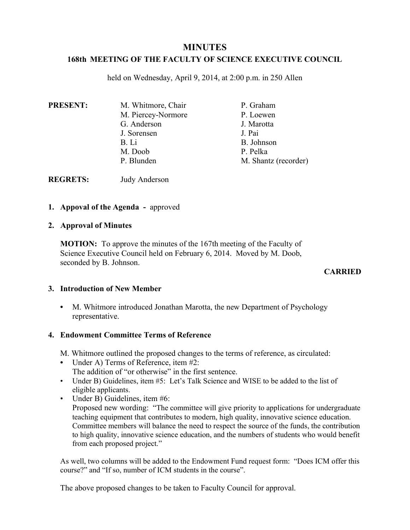# **MINUTES**

### **168th MEETING OF THE FACULTY OF SCIENCE EXECUTIVE COUNCIL**

held on Wednesday, April 9, 2014, at 2:00 p.m. in 250 Allen

| <b>PRESENT:</b> | M. Whitmore, Chair | P. Graham            |
|-----------------|--------------------|----------------------|
|                 | M. Piercey-Normore | P. Loewen            |
|                 | G. Anderson        | J. Marotta           |
|                 | J. Sorensen        | J. Pai               |
|                 | B. Li              | B. Johnson           |
|                 | M. Doob            | P. Pelka             |
|                 | P. Blunden         | M. Shantz (recorder) |

**REGRETS:** Judy Anderson

### **1. Appoval of the Agenda -** approved

#### **2. Approval of Minutes**

**MOTION:** To approve the minutes of the 167th meeting of the Faculty of Science Executive Council held on February 6, 2014. Moved by M. Doob, seconded by B. Johnson.

### **CARRIED**

### **3. Introduction of New Member**

**•** M. Whitmore introduced Jonathan Marotta, the new Department of Psychology representative.

### **4. Endowment Committee Terms of Reference**

- M. Whitmore outlined the proposed changes to the terms of reference, as circulated:
- Under A) Terms of Reference, item #2: The addition of "or otherwise" in the first sentence.
- Under B) Guidelines, item #5: Let's Talk Science and WISE to be added to the list of eligible applicants.
- Under B) Guidelines, item #6: Proposed new wording: "The committee will give priority to applications for undergraduate teaching equipment that contributes to modern, high quality, innovative science education. Committee members will balance the need to respect the source of the funds, the contribution to high quality, innovative science education, and the numbers of students who would benefit from each proposed project."

As well, two columns will be added to the Endowment Fund request form: "Does ICM offer this course?" and "If so, number of ICM students in the course".

The above proposed changes to be taken to Faculty Council for approval.